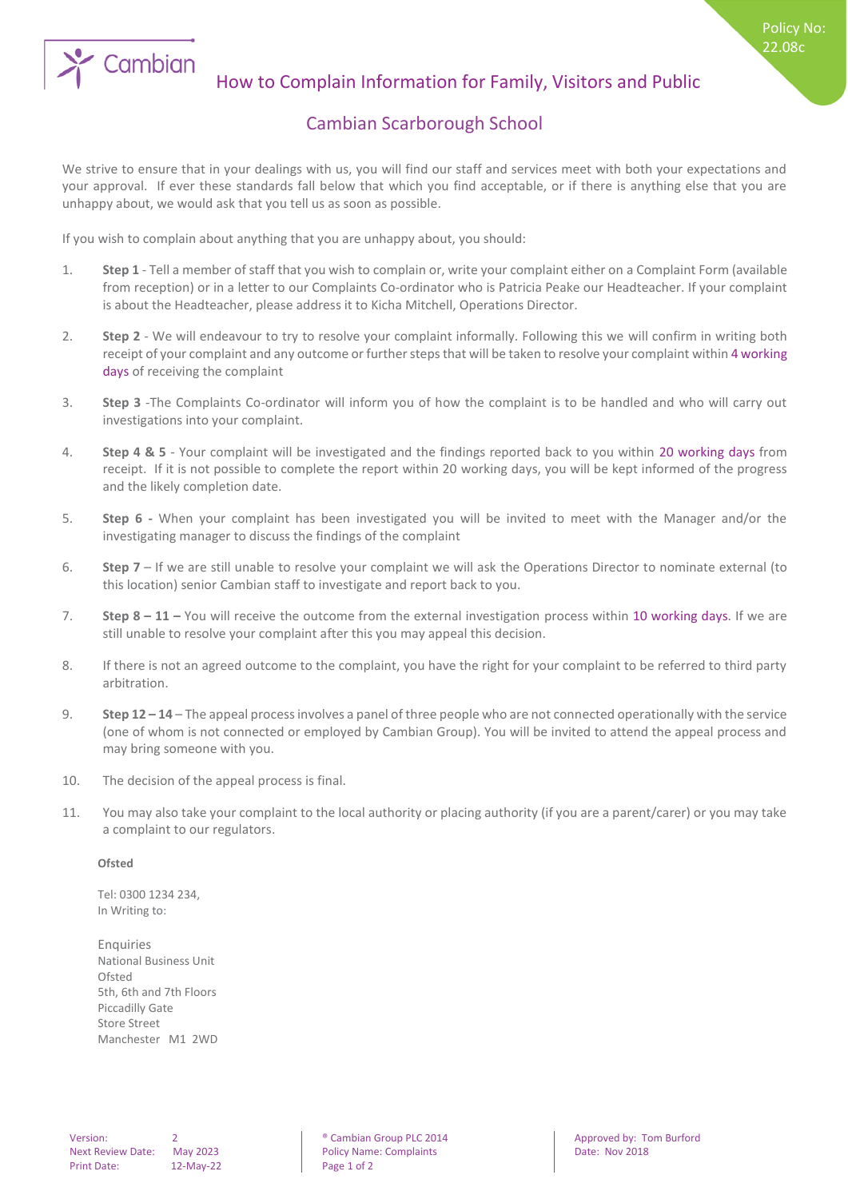

## How to Complain Information for Family, Visitors and Public

## Cambian Scarborough School

We strive to ensure that in your dealings with us, you will find our staff and services meet with both your expectations and your approval. If ever these standards fall below that which you find acceptable, or if there is anything else that you are unhappy about, we would ask that you tell us as soon as possible.

If you wish to complain about anything that you are unhappy about, you should:

- 1. **Step 1** Tell a member of staff that you wish to complain or, write your complaint either on a Complaint Form (available from reception) or in a letter to our Complaints Co-ordinator who is Patricia Peake our Headteacher. If your complaint is about the Headteacher, please address it to Kicha Mitchell, Operations Director.
- 2. **Step 2** We will endeavour to try to resolve your complaint informally. Following this we will confirm in writing both receipt of your complaint and any outcome or further steps that will be taken to resolve your complaint within 4 working days of receiving the complaint
- 3. **Step 3** -The Complaints Co-ordinator will inform you of how the complaint is to be handled and who will carry out investigations into your complaint.
- 4. **Step 4 & 5** Your complaint will be investigated and the findings reported back to you within 20 working days from receipt. If it is not possible to complete the report within 20 working days, you will be kept informed of the progress and the likely completion date.
- 5. **Step 6 -** When your complaint has been investigated you will be invited to meet with the Manager and/or the investigating manager to discuss the findings of the complaint
- 6. **Step 7** If we are still unable to resolve your complaint we will ask the Operations Director to nominate external (to this location) senior Cambian staff to investigate and report back to you.
- 7. **Step 8 – 11 –** You will receive the outcome from the external investigation process within 10 working days. If we are still unable to resolve your complaint after this you may appeal this decision.
- 8. If there is not an agreed outcome to the complaint, you have the right for your complaint to be referred to third party arbitration.
- 9. **Step 12 – 14** The appeal process involves a panel of three people who are not connected operationally with the service (one of whom is not connected or employed by Cambian Group). You will be invited to attend the appeal process and may bring someone with you.
- 10. The decision of the appeal process is final.
- 11. You may also take your complaint to the local authority or placing authority (if you are a parent/carer) or you may take a complaint to our regulators.

## **Ofsted**

Tel: 0300 1234 234, In Writing to:

**Enquiries** National Business Unit Ofsted 5th, 6th and 7th Floors Piccadilly Gate Store Street Manchester M1 2WD